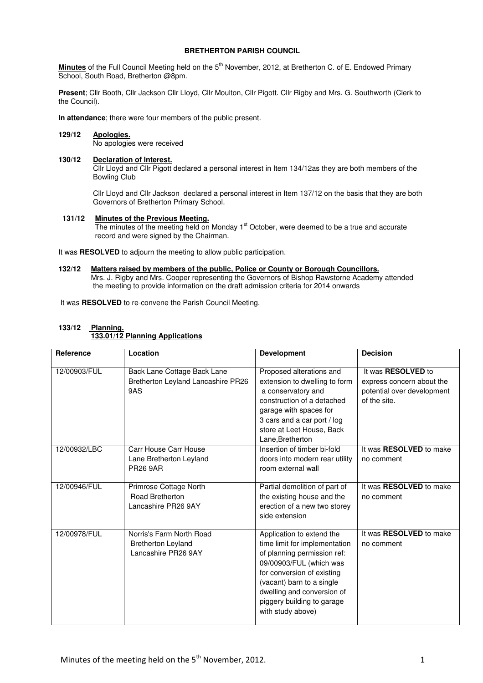# **BRETHERTON PARISH COUNCIL**

**Minutes** of the Full Council Meeting held on the 5<sup>th</sup> November, 2012, at Bretherton C. of E. Endowed Primary School, South Road, Bretherton @8pm.

**Present**; Cllr Booth, Cllr Jackson Cllr Lloyd, Cllr Moulton, Cllr Pigott. Cllr Rigby and Mrs. G. Southworth (Clerk to the Council).

**In attendance**; there were four members of the public present.

# **129/12 Apologies.**

No apologies were received

## **130/12 Declaration of Interest.**

 Cllr Lloyd and Cllr Pigott declared a personal interest in Item 134/12as they are both members of the Bowling Club

Cllr Lloyd and Cllr Jackson declared a personal interest in Item 137/12 on the basis that they are both Governors of Bretherton Primary School.

# **131/12 Minutes of the Previous Meeting.**

The minutes of the meeting held on Monday 1<sup>st</sup> October, were deemed to be a true and accurate record and were signed by the Chairman.

It was **RESOLVED** to adjourn the meeting to allow public participation.

## **132/12 Matters raised by members of the public, Police or County or Borough Councillors.**

 Mrs. J. Rigby and Mrs. Cooper representing the Governors of Bishop Rawstorne Academy attended the meeting to provide information on the draft admission criteria for 2014 onwards

It was **RESOLVED** to re-convene the Parish Council Meeting.

## **133/12 Planning. 133.01/12 Planning Applications**

| Reference    | Location                                                                     | <b>Development</b>                                                                                                                                                                                                                                               | <b>Decision</b>                                                                                      |
|--------------|------------------------------------------------------------------------------|------------------------------------------------------------------------------------------------------------------------------------------------------------------------------------------------------------------------------------------------------------------|------------------------------------------------------------------------------------------------------|
| 12/00903/FUL | Back Lane Cottage Back Lane<br>Bretherton Leyland Lancashire PR26<br>9AS     | Proposed alterations and<br>extension to dwelling to form<br>a conservatory and<br>construction of a detached<br>garage with spaces for<br>3 cars and a car port / log<br>store at Leet House, Back<br>Lane, Bretherton                                          | It was <b>RESOLVED</b> to<br>express concern about the<br>potential over development<br>of the site. |
| 12/00932/LBC | Carr House Carr House<br>Lane Bretherton Leyland<br><b>PR26 9AR</b>          | Insertion of timber bi-fold<br>doors into modern rear utility<br>room external wall                                                                                                                                                                              | It was RESOLVED to make<br>no comment                                                                |
| 12/00946/FUL | Primrose Cottage North<br>Road Bretherton<br>Lancashire PR26 9AY             | Partial demolition of part of<br>the existing house and the<br>erection of a new two storey<br>side extension                                                                                                                                                    | It was RESOLVED to make<br>no comment                                                                |
| 12/00978/FUL | Norris's Farm North Road<br><b>Bretherton Leyland</b><br>Lancashire PR26 9AY | Application to extend the<br>time limit for implementation<br>of planning permission ref:<br>09/00903/FUL (which was<br>for conversion of existing<br>(vacant) barn to a single<br>dwelling and conversion of<br>piggery building to garage<br>with study above) | It was <b>RESOLVED</b> to make<br>no comment                                                         |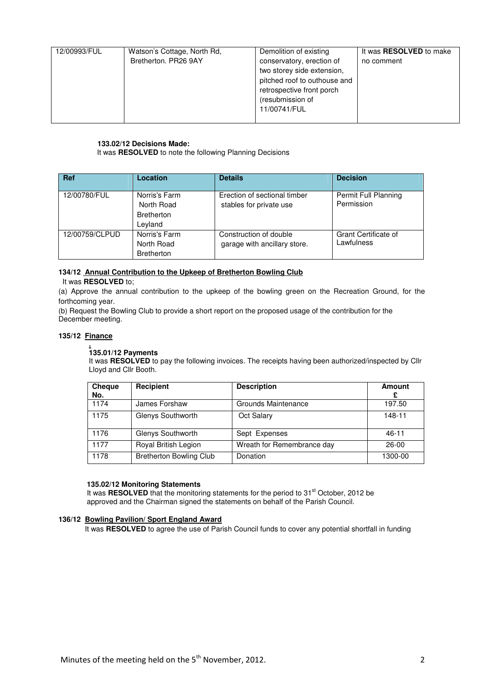| 12/00993/FUL | Watson's Cottage, North Rd, | Demolition of existing       | It was <b>RESOLVED</b> to make |
|--------------|-----------------------------|------------------------------|--------------------------------|
|              | Bretherton, PR26 9AY        | conservatory, erection of    | no comment                     |
|              |                             | two storey side extension,   |                                |
|              |                             | pitched roof to outhouse and |                                |
|              |                             | retrospective front porch    |                                |
|              |                             | (resubmission of             |                                |
|              |                             | 11/00741/FUL                 |                                |
|              |                             |                              |                                |

## **133.02/12 Decisions Made:**

It was **RESOLVED** to note the following Planning Decisions

| <b>Ref</b>     | <b>Location</b>                                             | <b>Details</b>                                          | <b>Decision</b>                           |
|----------------|-------------------------------------------------------------|---------------------------------------------------------|-------------------------------------------|
| 12/00780/FUL   | Norris's Farm<br>North Road<br><b>Bretherton</b><br>Leyland | Erection of sectional timber<br>stables for private use | Permit Full Planning<br>Permission        |
| 12/00759/CLPUD | Norris's Farm<br>North Road<br><b>Bretherton</b>            | Construction of double<br>garage with ancillary store.  | <b>Grant Certificate of</b><br>Lawfulness |

# **134/12 Annual Contribution to the Upkeep of Bretherton Bowling Club**

# It was **RESOLVED** to;

(a) Approve the annual contribution to the upkeep of the bowling green on the Recreation Ground, for the forthcoming year.

(b) Request the Bowling Club to provide a short report on the proposed usage of the contribution for the December meeting.

## **135/12 Finance**

### **. 135.01/12 Payments**

It was **RESOLVED** to pay the following invoices. The receipts having been authorized/inspected by Cllr Lloyd and Cllr Booth.

| <b>Cheque</b><br>No. | Recipient                      | <b>Description</b>         | Amount    |
|----------------------|--------------------------------|----------------------------|-----------|
| 1174                 | James Forshaw                  | Grounds Maintenance        | 197.50    |
| 1175                 | Glenys Southworth              | Oct Salary                 | 148-11    |
| 1176                 | Glenys Southworth              | Sept Expenses              | $46 - 11$ |
| 1177                 | Royal British Legion           | Wreath for Remembrance day | $26-00$   |
| 1178                 | <b>Bretherton Bowling Club</b> | Donation                   | 1300-00   |

## **135.02/12 Monitoring Statements**

It was **RESOLVED** that the monitoring statements for the period to 31<sup>st</sup> October, 2012 be approved and the Chairman signed the statements on behalf of the Parish Council.

## **136/12 Bowling Pavilion/ Sport England Award**

It was **RESOLVED** to agree the use of Parish Council funds to cover any potential shortfall in funding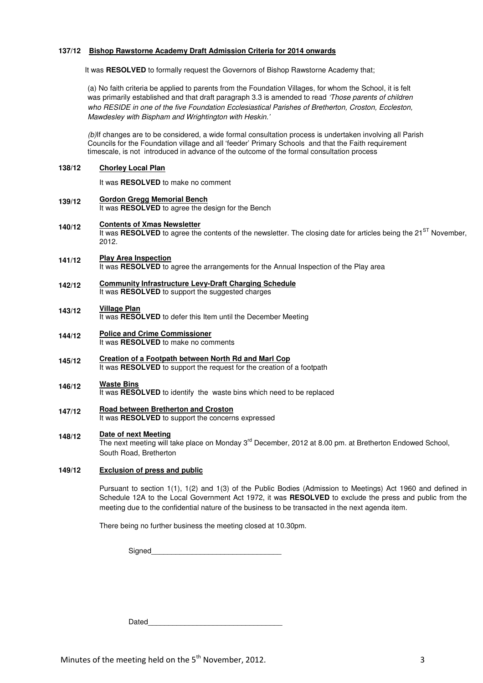## **137/12 Bishop Rawstorne Academy Draft Admission Criteria for 2014 onwards**

It was RESOLVED to formally request the Governors of Bishop Rawstorne Academy that;

(a) No faith criteria be applied to parents from the Foundation Villages, for whom the School, it is felt was primarily established and that draft paragraph 3.3 is amended to read 'Those parents of children who RESIDE in one of the five Foundation Ecclesiastical Parishes of Bretherton, Croston, Eccleston, Mawdesley with Bispham and Wrightington with Heskin.'

(b)If changes are to be considered, a wide formal consultation process is undertaken involving all Parish Councils for the Foundation village and all 'feeder' Primary Schools and that the Faith requirement timescale, is not introduced in advance of the outcome of the formal consultation process

### **138/12 Chorley Local Plan**

It was **RESOLVED** to make no comment

**139/12 Gordon Gregg Memorial Bench** It was **RESOLVED** to agree the design for the Bench

### **140/12 Contents of Xmas Newsletter**

It was **RESOLVED** to agree the contents of the newsletter. The closing date for articles being the 21<sup>ST</sup> November, 2012.

- **141/12 Play Area Inspection** It was **RESOLVED** to agree the arrangements for the Annual Inspection of the Play area
- **142/12 Community Infrastructure Levy-Draft Charging Schedule** It was **RESOLVED** to support the suggested charges

### **143/12 Village Plan**

It was **RESOLVED** to defer this Item until the December Meeting

- **144/12 Police and Crime Commissioner** It was **RESOLVED** to make no comments
- **145/12 Creation of a Footpath between North Rd and Marl Cop** It was **RESOLVED** to support the request for the creation of a footpath

### **146/12 Waste Bins** It was **RESOLVED** to identify the waste bins which need to be replaced

**147/12 Road between Bretherton and Croston** It was **RESOLVED** to support the concerns expressed

### **148/12 Date of next Meeting**

The next meeting will take place on Monday 3<sup>rd</sup> December, 2012 at 8.00 pm. at Bretherton Endowed School, South Road, Bretherton

### **149/12 Exclusion of press and public**

Pursuant to section 1(1), 1(2) and 1(3) of the Public Bodies (Admission to Meetings) Act 1960 and defined in Schedule 12A to the Local Government Act 1972, it was **RESOLVED** to exclude the press and public from the meeting due to the confidential nature of the business to be transacted in the next agenda item.

There being no further business the meeting closed at 10.30pm.

Signed

Dated\_\_\_\_\_\_\_\_\_\_\_\_\_\_\_\_\_\_\_\_\_\_\_\_\_\_\_\_\_\_\_\_\_